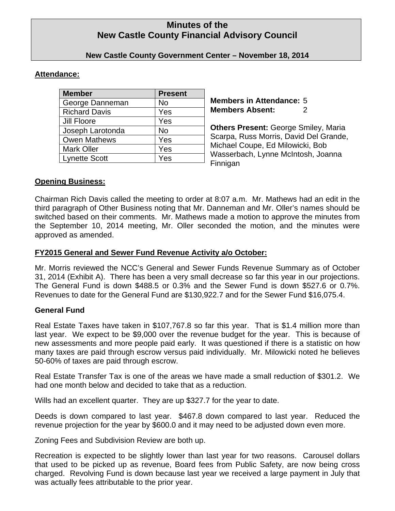# **Minutes of the New Castle County Financial Advisory Council**

# **New Castle County Government Center – November 18, 2014**

### **Attendance:**

| <b>Member</b>        | <b>Present</b> |
|----------------------|----------------|
| George Danneman      | No             |
| <b>Richard Davis</b> | Yes            |
| Jill Floore          | Yes            |
| Joseph Larotonda     | No             |
| <b>Owen Mathews</b>  | Yes            |
| <b>Mark Oller</b>    | Yes            |
| <b>Lynette Scott</b> | Yes            |

**Members in Attendance:** 5 **Members Absent:** 2

**Others Present:** George Smiley, Maria Scarpa, Russ Morris, David Del Grande, Michael Coupe, Ed Milowicki, Bob Wasserbach, Lynne McIntosh, Joanna Finnigan

### **Opening Business:**

Chairman Rich Davis called the meeting to order at 8:07 a.m. Mr. Mathews had an edit in the third paragraph of Other Business noting that Mr. Danneman and Mr. Oller's names should be switched based on their comments. Mr. Mathews made a motion to approve the minutes from the September 10, 2014 meeting, Mr. Oller seconded the motion, and the minutes were approved as amended.

# **FY2015 General and Sewer Fund Revenue Activity a/o October:**

Mr. Morris reviewed the NCC's General and Sewer Funds Revenue Summary as of October 31, 2014 (Exhibit A). There has been a very small decrease so far this year in our projections. The General Fund is down \$488.5 or 0.3% and the Sewer Fund is down \$527.6 or 0.7%. Revenues to date for the General Fund are \$130,922.7 and for the Sewer Fund \$16,075.4.

# **General Fund**

Real Estate Taxes have taken in \$107,767.8 so far this year. That is \$1.4 million more than last year. We expect to be \$9,000 over the revenue budget for the year. This is because of new assessments and more people paid early. It was questioned if there is a statistic on how many taxes are paid through escrow versus paid individually. Mr. Milowicki noted he believes 50-60% of taxes are paid through escrow.

Real Estate Transfer Tax is one of the areas we have made a small reduction of \$301.2. We had one month below and decided to take that as a reduction.

Wills had an excellent quarter. They are up \$327.7 for the year to date.

Deeds is down compared to last year. \$467.8 down compared to last year. Reduced the revenue projection for the year by \$600.0 and it may need to be adjusted down even more.

Zoning Fees and Subdivision Review are both up.

Recreation is expected to be slightly lower than last year for two reasons. Carousel dollars that used to be picked up as revenue, Board fees from Public Safety, are now being cross charged. Revolving Fund is down because last year we received a large payment in July that was actually fees attributable to the prior year.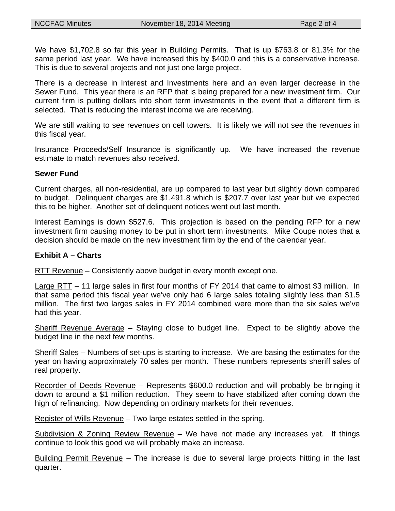We have \$1,702.8 so far this year in Building Permits. That is up \$763.8 or 81.3% for the same period last year. We have increased this by \$400.0 and this is a conservative increase. This is due to several projects and not just one large project.

There is a decrease in Interest and Investments here and an even larger decrease in the Sewer Fund. This year there is an RFP that is being prepared for a new investment firm. Our current firm is putting dollars into short term investments in the event that a different firm is selected. That is reducing the interest income we are receiving.

We are still waiting to see revenues on cell towers. It is likely we will not see the revenues in this fiscal year.

Insurance Proceeds/Self Insurance is significantly up. We have increased the revenue estimate to match revenues also received.

#### **Sewer Fund**

Current charges, all non-residential, are up compared to last year but slightly down compared to budget. Delinquent charges are \$1,491.8 which is \$207.7 over last year but we expected this to be higher. Another set of delinquent notices went out last month.

Interest Earnings is down \$527.6. This projection is based on the pending RFP for a new investment firm causing money to be put in short term investments. Mike Coupe notes that a decision should be made on the new investment firm by the end of the calendar year.

#### **Exhibit A – Charts**

RTT Revenue – Consistently above budget in every month except one.

Large RTT – 11 large sales in first four months of FY 2014 that came to almost \$3 million. In that same period this fiscal year we've only had 6 large sales totaling slightly less than \$1.5 million. The first two larges sales in FY 2014 combined were more than the six sales we've had this year.

Sheriff Revenue Average – Staying close to budget line. Expect to be slightly above the budget line in the next few months.

Sheriff Sales – Numbers of set-ups is starting to increase. We are basing the estimates for the year on having approximately 70 sales per month. These numbers represents sheriff sales of real property.

Recorder of Deeds Revenue – Represents \$600.0 reduction and will probably be bringing it down to around a \$1 million reduction. They seem to have stabilized after coming down the high of refinancing. Now depending on ordinary markets for their revenues.

Register of Wills Revenue – Two large estates settled in the spring.

Subdivision & Zoning Review Revenue – We have not made any increases yet. If things continue to look this good we will probably make an increase.

Building Permit Revenue – The increase is due to several large projects hitting in the last quarter.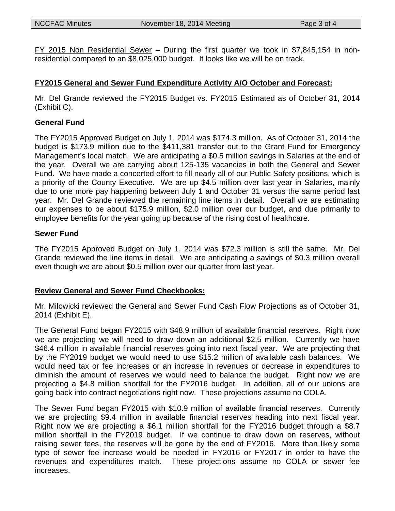FY 2015 Non Residential Sewer – During the first quarter we took in \$7,845,154 in nonresidential compared to an \$8,025,000 budget. It looks like we will be on track.

# **FY2015 General and Sewer Fund Expenditure Activity A/O October and Forecast:**

Mr. Del Grande reviewed the FY2015 Budget vs. FY2015 Estimated as of October 31, 2014 (Exhibit C).

#### **General Fund**

The FY2015 Approved Budget on July 1, 2014 was \$174.3 million. As of October 31, 2014 the budget is \$173.9 million due to the \$411,381 transfer out to the Grant Fund for Emergency Management's local match. We are anticipating a \$0.5 million savings in Salaries at the end of the year. Overall we are carrying about 125-135 vacancies in both the General and Sewer Fund. We have made a concerted effort to fill nearly all of our Public Safety positions, which is a priority of the County Executive. We are up \$4.5 million over last year in Salaries, mainly due to one more pay happening between July 1 and October 31 versus the same period last year. Mr. Del Grande reviewed the remaining line items in detail. Overall we are estimating our expenses to be about \$175.9 million, \$2.0 million over our budget, and due primarily to employee benefits for the year going up because of the rising cost of healthcare.

### **Sewer Fund**

The FY2015 Approved Budget on July 1, 2014 was \$72.3 million is still the same. Mr. Del Grande reviewed the line items in detail. We are anticipating a savings of \$0.3 million overall even though we are about \$0.5 million over our quarter from last year.

### **Review General and Sewer Fund Checkbooks:**

Mr. Milowicki reviewed the General and Sewer Fund Cash Flow Projections as of October 31, 2014 (Exhibit E).

The General Fund began FY2015 with \$48.9 million of available financial reserves. Right now we are projecting we will need to draw down an additional \$2.5 million. Currently we have \$46.4 million in available financial reserves going into next fiscal year. We are projecting that by the FY2019 budget we would need to use \$15.2 million of available cash balances. We would need tax or fee increases or an increase in revenues or decrease in expenditures to diminish the amount of reserves we would need to balance the budget. Right now we are projecting a \$4.8 million shortfall for the FY2016 budget. In addition, all of our unions are going back into contract negotiations right now. These projections assume no COLA.

The Sewer Fund began FY2015 with \$10.9 million of available financial reserves. Currently we are projecting \$9.4 million in available financial reserves heading into next fiscal year. Right now we are projecting a \$6.1 million shortfall for the FY2016 budget through a \$8.7 million shortfall in the FY2019 budget. If we continue to draw down on reserves, without raising sewer fees, the reserves will be gone by the end of FY2016. More than likely some type of sewer fee increase would be needed in FY2016 or FY2017 in order to have the revenues and expenditures match. These projections assume no COLA or sewer fee increases.